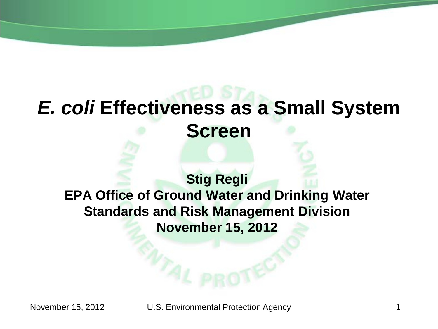# *E. coli* **Effectiveness as a Small System Screen**

### **Stig Regli EPA Office of Ground Water and Drinking Water Standards and Risk Management Division November 15, 2012**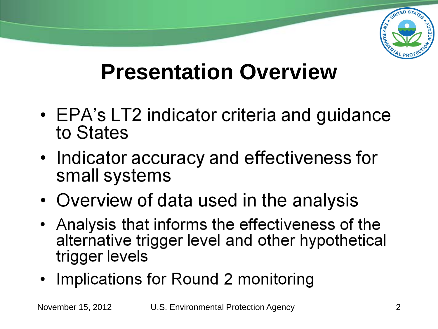

# **Presentation Overview**

- EPA's LT2 indicator criteria and guidance to States
- Indicator accuracy and effectiveness for small systems
- Overview of data used in the analysis
- Analysis that informs the effectiveness of the alternative trigger level and other hypothetical trigger levels
- Implications for Round 2 monitoring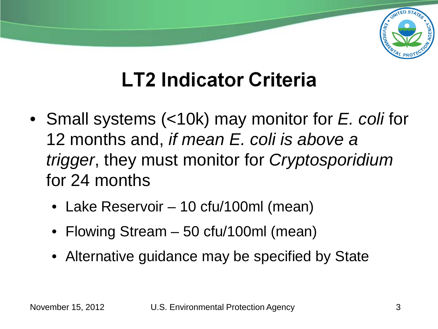

## **LT2 Indicator Criteria**

- Small systems (<10k) may monitor for *E. coli* for 12 months and, *if mean E. coli is above a trigger*, they must monitor for *Cryptosporidium* for 24 months
	- Lake Reservoir 10 cfu/100ml (mean)
	- Flowing Stream 50 cfu/100ml (mean)
	- Alternative guidance may be specified by State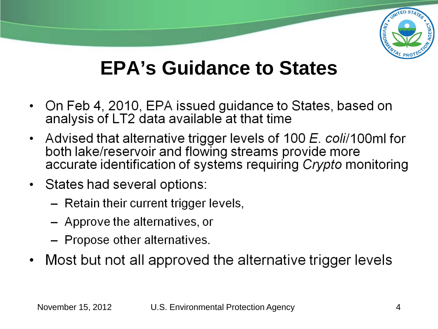

### **EPA's Guidance to States**

- On Feb 4, 2010, EPA issued guidance to States, based on analysis of LT2 data available at that time
- Advised that alternative trigger levels of 100 E. coli/100ml for both lake/reservoir and flowing streams provide more<br>accurate identification of systems requiring Crypto monitoring
- States had several options:
	- Retain their current trigger levels,
	- Approve the alternatives, or
	- Propose other alternatives.
- Most but not all approved the alternative trigger levels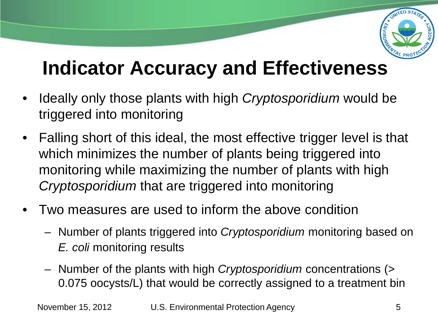

### **Indicator Accuracy and Effectiveness**

- Ideally only those plants with high *Cryptosporidium* would be triggered into monitoring
- Falling short of this ideal, the most effective trigger level is that which minimizes the number of plants being triggered into monitoring while maximizing the number of plants with high *Cryptosporidium* that are triggered into monitoring
- Two measures are used to inform the above condition
	- Number of plants triggered into *Cryptosporidium* monitoring based on *E. coli* monitoring results
	- Number of the plants with high *Cryptosporidium* concentrations (> 0.075 oocysts/L) that would be correctly assigned to a treatment bin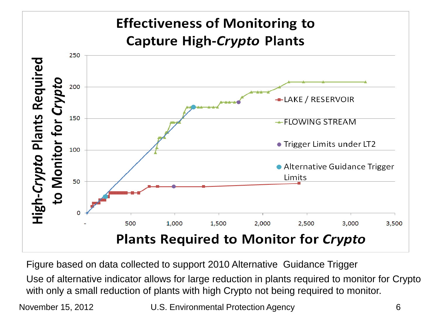#### **Effectiveness of Monitoring to Capture High-Crypto Plants** 250 High-Crypto Plants Required Crypto 200 -LAKE / RESERVOIR 150 to Monitor for ← FLOWING STREAM • Trigger Limits under LT2 100 • Alternative Guidance Trigger Limits 50 500 1,000 1,500 2,000 2,500 3,000 3,500 **Plants Required to Monitor for Crypto**

Figure based on data collected to support 2010 Alternative Guidance Trigger

Use of alternative indicator allows for large reduction in plants required to monitor for Crypto with only a small reduction of plants with high Crypto not being required to monitor.

November 15, 2012 U.S. Environmental Protection Agency 6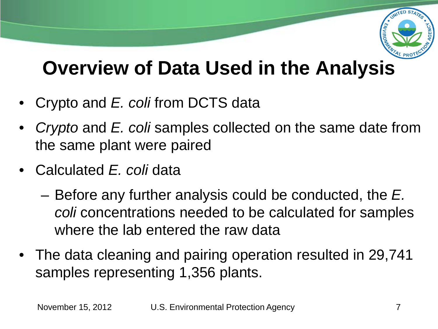

### **Overview of Data Used in the Analysis**

- Crypto and *E. coli* from DCTS data
- *Crypto* and *E. coli* samples collected on the same date from the same plant were paired
- Calculated *E. coli* data
	- Before any further analysis could be conducted, the *E. coli* concentrations needed to be calculated for samples where the lab entered the raw data
- The data cleaning and pairing operation resulted in 29,741 samples representing 1,356 plants.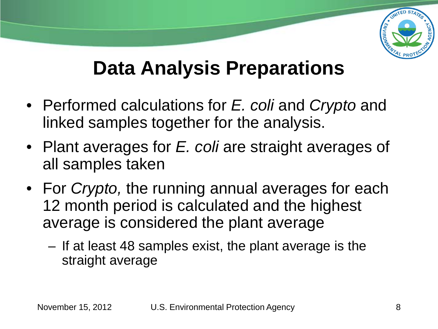

### **Data Analysis Preparations**

- Performed calculations for *E. coli* and *Crypto* and linked samples together for the analysis.
- Plant averages for *E. coli* are straight averages of all samples taken
- For *Crypto,* the running annual averages for each 12 month period is calculated and the highest average is considered the plant average
	- If at least 48 samples exist, the plant average is the straight average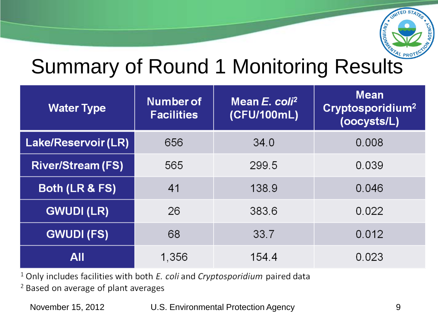

# Summary of Round 1 Monitoring Results

| <b>Water Type</b>         | Number of<br><b>Facilities</b> | Mean E. coli <sup>2</sup><br>(CFU/100mL) | <b>Mean</b><br>Cryptosporidium <sup>2</sup><br>(oocysts/L) |
|---------------------------|--------------------------------|------------------------------------------|------------------------------------------------------------|
| Lake/Reservoir (LR)       | 656                            | 34.0                                     | 0.008                                                      |
| <b>River/Stream (FS)</b>  | 565                            | 299.5                                    | 0.039                                                      |
| <b>Both (LR &amp; FS)</b> | 41                             | 138.9                                    | 0.046                                                      |
| <b>GWUDI (LR)</b>         | 26                             | 383.6                                    | 0.022                                                      |
| <b>GWUDI (FS)</b>         | 68                             | 33.7                                     | 0.012                                                      |
| <b>All</b>                | 1,356                          | 154.4                                    | 0.023                                                      |

 $1$  Only includes facilities with both  $E$ . coli and Cryptosporidium paired data

<sup>2</sup> Based on average of plant averages

November 15, 2012 U.S. Environmental Protection Agency 9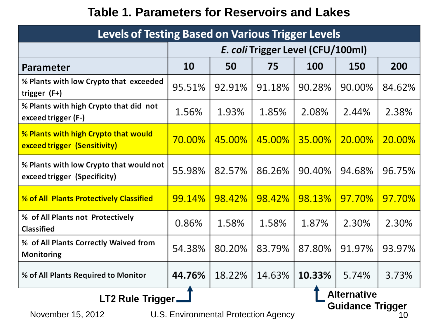#### **Table 1. Parameters for Reservoirs and Lakes**

| <b>Levels of Testing Based on Various Trigger Levels</b>                                                                                       |        |                                   |        |        |        |        |
|------------------------------------------------------------------------------------------------------------------------------------------------|--------|-----------------------------------|--------|--------|--------|--------|
|                                                                                                                                                |        | E. coli Trigger Level (CFU/100ml) |        |        |        |        |
| Parameter                                                                                                                                      | 10     | 50                                | 75     | 100    | 150    | 200    |
| % Plants with low Crypto that exceeded<br>trigger (F+)                                                                                         | 95.51% | 92.91%                            | 91.18% | 90.28% | 90.00% | 84.62% |
| % Plants with high Crypto that did not<br>exceed trigger (F-)                                                                                  | 1.56%  | 1.93%                             | 1.85%  | 2.08%  | 2.44%  | 2.38%  |
| % Plants with high Crypto that would<br>exceed trigger (Sensitivity)                                                                           | 70.00% | 45.00%                            | 45.00% | 35.00% | 20.00% | 20.00% |
| % Plants with low Crypto that would not<br>exceed trigger (Specificity)                                                                        | 55.98% | 82.57%                            | 86.26% | 90.40% | 94.68% | 96.75% |
| % of All Plants Protectively Classified                                                                                                        | 99.14% | 98.42%                            | 98.42% | 98.13% | 97.70% | 97.70% |
| % of All Plants not Protectively<br><b>Classified</b>                                                                                          | 0.86%  | 1.58%                             | 1.58%  | 1.87%  | 2.30%  | 2.30%  |
| % of All Plants Correctly Waived from<br>Monitoring                                                                                            | 54.38% | 80.20%                            | 83.79% | 87.80% | 91.97% | 93.97% |
| % of All Plants Required to Monitor                                                                                                            | 44.76% | 18.22%                            | 14.63% | 10.33% | 5.74%  | 3.73%  |
| <b>Alternative</b><br>LT2 Rule Trigger,<br><b>Guidance Trigger</b><br><b>IIS Environmental Protection Agency</b><br>November $15, 2012$<br>11) |        |                                   |        |        |        |        |

November 15, 2012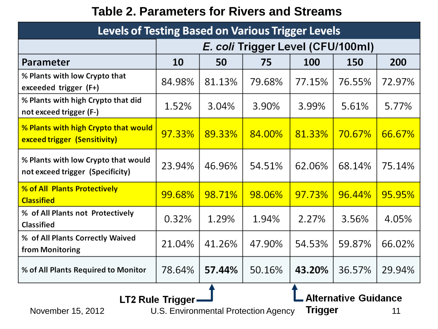### **Table 2. Parameters for Rivers and Streams**

| <b>Levels of Testing Based on Various Trigger Levels</b>                |        |                                   |        |        |        |        |
|-------------------------------------------------------------------------|--------|-----------------------------------|--------|--------|--------|--------|
|                                                                         |        | E. coli Trigger Level (CFU/100ml) |        |        |        |        |
| Parameter                                                               | 10     | 50                                | 75     | 100    | 150    | 200    |
| % Plants with low Crypto that<br>exceeded trigger (F+)                  | 84.98% | 81.13%                            | 79.68% | 77.15% | 76.55% | 72.97% |
| % Plants with high Crypto that did<br>not exceed trigger (F-)           | 1.52%  | 3.04%                             | 3.90%  | 3.99%  | 5.61%  | 5.77%  |
| % Plants with high Crypto that would<br>exceed trigger (Sensitivity)    | 97.33% | 89.33%                            | 84.00% | 81.33% | 70.67% | 66.67% |
| % Plants with low Crypto that would<br>not exceed trigger (Specificity) | 23.94% | 46.96%                            | 54.51% | 62.06% | 68.14% | 75.14% |
| % of All Plants Protectively<br><b>Classified</b>                       | 99.68% | 98.71%                            | 98.06% | 97.73% | 96.44% | 95.95% |
| % of All Plants not Protectively<br><b>Classified</b>                   | 0.32%  | 1.29%                             | 1.94%  | 2.27%  | 3.56%  | 4.05%  |
| % of All Plants Correctly Waived<br>from Monitoring                     | 21.04% | 41.26%                            | 47.90% | 54.53% | 59.87% | 66.02% |
| % of All Plants Required to Monitor                                     | 78.64% | 57.44%                            | 50.16% | 43.20% | 36.57% | 29.94% |
|                                                                         |        |                                   |        |        |        |        |

L Alternative Guidance

U.S. Environmental Protection Agency Trigger 11

LT2 Rule Trigger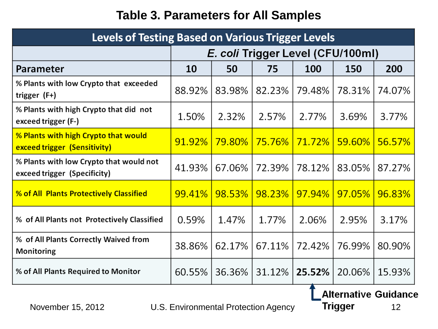### **Table 3. Parameters for All Samples**

| <b>Levels of Testing Based on Various Trigger Levels</b>                |        |                                   |        |        |        |        |
|-------------------------------------------------------------------------|--------|-----------------------------------|--------|--------|--------|--------|
|                                                                         |        | E. coli Trigger Level (CFU/100ml) |        |        |        |        |
| Parameter                                                               | 10     | 50                                | 75     | 100    | 150    | 200    |
| % Plants with low Crypto that exceeded<br>trigger (F+)                  | 88.92% | 83.98%                            | 82.23% | 79.48% | 78.31% | 74.07% |
| % Plants with high Crypto that did not<br>exceed trigger (F-)           | 1.50%  | 2.32%                             | 2.57%  | 2.77%  | 3.69%  | 3.77%  |
| % Plants with high Crypto that would<br>exceed trigger (Sensitivity)    | 91.92% | <b>79.80%</b>                     | 75.76% | 71.72% | 59.60% | 56.57% |
| % Plants with low Crypto that would not<br>exceed trigger (Specificity) | 41.93% | 67.06%                            | 72.39% | 78.12% | 83.05% | 87.27% |
| % of All Plants Protectively Classified                                 | 99.41% | 98.53%                            | 98.23% | 97.94% | 97.05% | 96.83% |
| % of All Plants not Protectively Classified                             | 0.59%  | 1.47%                             | 1.77%  | 2.06%  | 2.95%  | 3.17%  |
| % of All Plants Correctly Waived from<br>Monitoring                     | 38.86% | 62.17%                            | 67.11% | 72.42% | 76.99% | 80.90% |
| % of All Plants Required to Monitor                                     | 60.55% | 36.36%                            | 31.12% | 25.52% | 20.06% | 15.93% |

**LAIternative Guidance**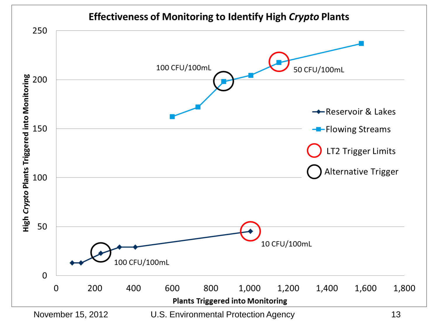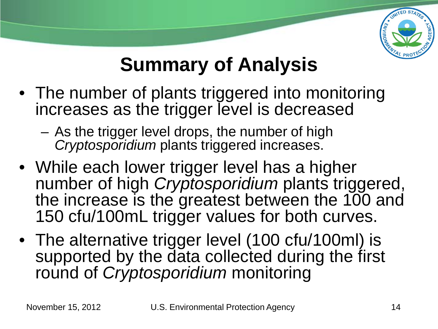

### **Summary of Analysis**

- The number of plants triggered into monitoring increases as the trigger level is decreased
	- As the trigger level drops, the number of high *Cryptosporidium* plants triggered increases.
- While each lower trigger level has a higher number of high *Cryptosporidium* plants triggered, the increase is the greatest between the 100 and 150 cfu/100mL trigger values for both curves.
- The alternative trigger level (100 cfu/100ml) is supported by the data collected during the first round of *Cryptosporidium* monitoring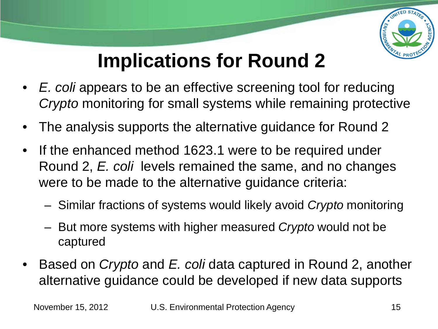

### **Implications for Round 2**

- *E. coli* appears to be an effective screening tool for reducing *Crypto* monitoring for small systems while remaining protective
- The analysis supports the alternative guidance for Round 2
- If the enhanced method 1623.1 were to be required under Round 2, *E. coli* levels remained the same, and no changes were to be made to the alternative guidance criteria:
	- Similar fractions of systems would likely avoid *Crypto* monitoring
	- But more systems with higher measured *Crypto* would not be captured
- Based on *Crypto* and *E. coli* data captured in Round 2, another alternative guidance could be developed if new data supports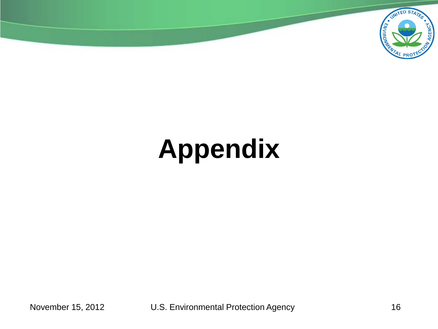

# **Appendix**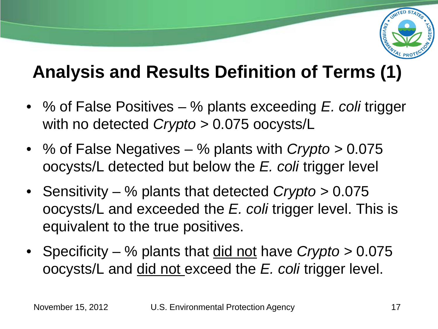

### **Analysis and Results Definition of Terms (1)**

- % of False Positives % plants exceeding *E. coli* trigger with no detected *Crypto >* 0.075 oocysts/L
- % of False Negatives % plants with *Crypto >* 0.075 oocysts/L detected but below the *E. coli* trigger level
- Sensitivity % plants that detected *Crypto >* 0.075 oocysts/L and exceeded the *E. coli* trigger level. This is equivalent to the true positives.
- Specificity % plants that did not have *Crypto >* 0.075 oocysts/L and did not exceed the *E. coli* trigger level.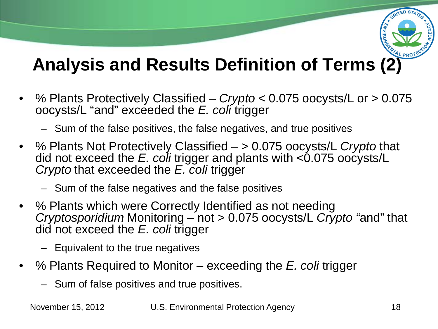

### **Analysis and Results Definition of Terms (2)**

- % Plants Protectively Classified *Crypto <* 0.075 oocysts/L or *>* 0.075 oocysts/L "and" exceeded the *E. coli* trigger
	- Sum of the false positives, the false negatives, and true positives
- % Plants Not Protectively Classified > 0.075 oocysts/L *Crypto* that did not exceed the *E. coli* trigger and plants with <0.075 oocysts/L *Crypto* that exceeded the *E. coli* trigger
	- Sum of the false negatives and the false positives
- % Plants which were Correctly Identified as not needing *Cryptosporidium* Monitoring – not > 0.075 oocysts/L *Crypto "*and" that did not exceed the *E. coli* trigger
	- Equivalent to the true negatives
- % Plants Required to Monitor exceeding the *E. coli* trigger
	- Sum of false positives and true positives.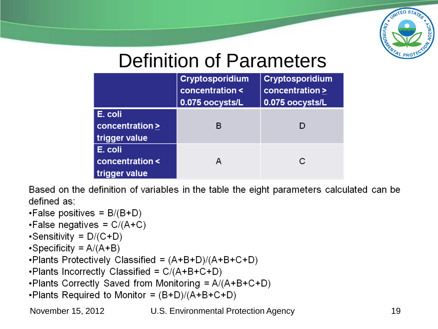

### Definition of Parameters

|                                             | <b>Cryptosporidium</b><br>concentration <<br>0.075 oocysts/L | <b>Cryptosporidium</b><br>concentration ><br>0.075 oocysts/L |
|---------------------------------------------|--------------------------------------------------------------|--------------------------------------------------------------|
| E. coli<br>concentration ><br>trigger value | в                                                            | D                                                            |
| E. coli<br>concentration <<br>trigger value |                                                              | С                                                            |

Based on the definition of variables in the table the eight parameters calculated can be defined as:

```
. False positives = B/(B+D)
```
•False negatives =  $C/(A+C)$ 

```
\cdotSensitivity = D/(C+D)
```

```
\cdotSpecificity = A/(A+B)
```
. Plants Protectively Classified =  $(A+B+D)/(A+B+C+D)$ 

. Plants Incorrectly Classified =  $C/(A+B+C+D)$ 

- . Plants Correctly Saved from Monitoring =  $A/(A+B+C+D)$
- . Plants Required to Monitor =  $(B+D)/(A+B+C+D)$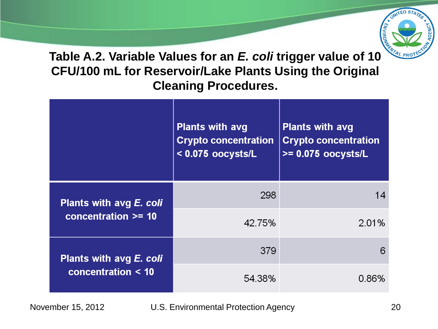

**Table A.2. Variable Values for an** *E. coli* **trigger value of 10 CFU/100 mL for Reservoir/Lake Plants Using the Original Cleaning Procedures.**

|                                                  | <b>Plants with avg</b><br><b>Crypto concentration</b><br>$<$ 0.075 oocysts/L | <b>Plants with avg</b><br><b>Crypto concentration</b><br>$>= 0.075$ oocysts/L |
|--------------------------------------------------|------------------------------------------------------------------------------|-------------------------------------------------------------------------------|
| Plants with avg E. coli<br>concentration $>=$ 10 | 298                                                                          | 14                                                                            |
|                                                  | 42.75%                                                                       | 2.01%                                                                         |
| Plants with avg E. coli<br>concentration < 10    | 379                                                                          | 6                                                                             |
|                                                  | 54.38%                                                                       | 0.86%                                                                         |

November 15, 2012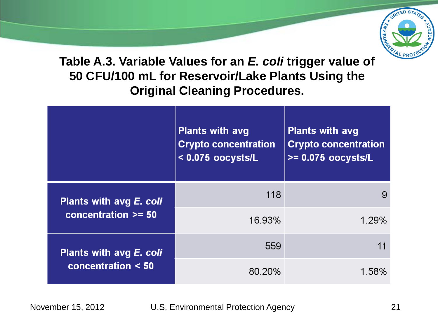

**Table A.3. Variable Values for an** *E. coli* **trigger value of 50 CFU/100 mL for Reservoir/Lake Plants Using the Original Cleaning Procedures.**

|                                                  | <b>Plants with avg</b><br><b>Crypto concentration</b><br>$<$ 0.075 oocysts/L | <b>Plants with avg</b><br><b>Crypto concentration</b><br>$>= 0.075$ oocysts/L |
|--------------------------------------------------|------------------------------------------------------------------------------|-------------------------------------------------------------------------------|
| Plants with avg E. coli<br>concentration $>= 50$ | 118                                                                          |                                                                               |
|                                                  | 16.93%                                                                       | 1.29%                                                                         |
| Plants with avg E. coli<br>concentration $< 50$  | 559                                                                          |                                                                               |
|                                                  | 80.20%                                                                       | 1 58%                                                                         |

U.S. Environmental Protection Agency 21 November 15, 2012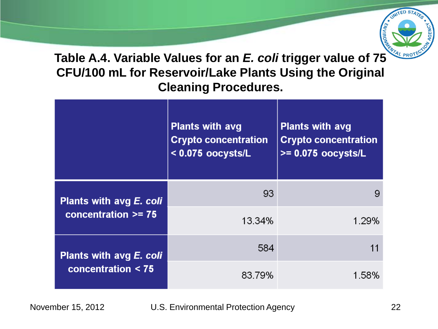

**Table A.4. Variable Values for an** *E. coli* **trigger value of 75 CFU/100 mL for Reservoir/Lake Plants Using the Original Cleaning Procedures.**

|                         | <b>Plants with avg</b><br><b>Crypto concentration</b><br>$<$ 0.075 oocysts/L | <b>Plants with avg</b><br><b>Crypto concentration</b><br>$>= 0.075$ oocysts/L |
|-------------------------|------------------------------------------------------------------------------|-------------------------------------------------------------------------------|
| Plants with avg E. coli | 93                                                                           |                                                                               |
| concentration $>= 75$   | 13.34%                                                                       | 1.29%                                                                         |
| Plants with avg E. coli | 584                                                                          |                                                                               |
| concentration $<$ 75    | 83.79%                                                                       | 1.58%                                                                         |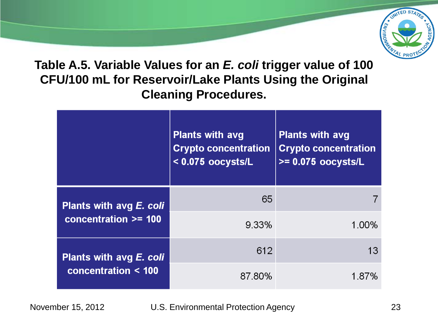

**Table A.5. Variable Values for an** *E. coli* **trigger value of 100 CFU/100 mL for Reservoir/Lake Plants Using the Original Cleaning Procedures.**

|                         | <b>Plants with avg</b><br><b>Crypto concentration</b><br>$<$ 0.075 oocysts/L | <b>Plants with avg</b><br><b>Crypto concentration</b><br>$>= 0.075$ oocysts/L |
|-------------------------|------------------------------------------------------------------------------|-------------------------------------------------------------------------------|
| Plants with avg E. coli | 65                                                                           |                                                                               |
| concentration >= 100    | 9.33%                                                                        | 1.00%                                                                         |
| Plants with avg E. coli | 612                                                                          | 13                                                                            |
| concentration < 100     | 87.80%                                                                       | 1.87%                                                                         |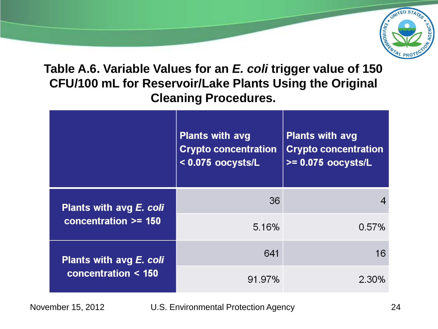

**Table A.6. Variable Values for an** *E. coli* **trigger value of 150 CFU/100 mL for Reservoir/Lake Plants Using the Original Cleaning Procedures.**

|                                                   | <b>Plants with avg</b><br><b>Crypto concentration</b><br>$<$ 0.075 oocysts/L | <b>Plants with avg</b><br><b>Crypto concentration</b><br>$>= 0.075$ oocysts/L |
|---------------------------------------------------|------------------------------------------------------------------------------|-------------------------------------------------------------------------------|
| Plants with avg E. coli<br>concentration $>=$ 150 | 36                                                                           |                                                                               |
|                                                   | 5.16%                                                                        | 0.57%                                                                         |
| Plants with avg E. coli<br>concentration < 150    | 641                                                                          | 16                                                                            |
|                                                   | 91.97%                                                                       | 2 30%                                                                         |

November 15, 2012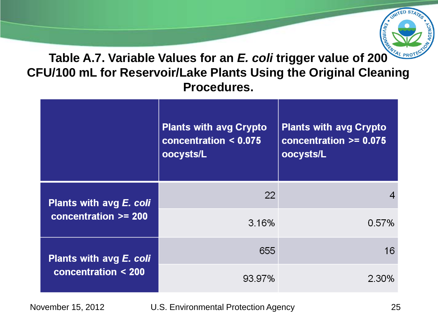

#### **Table A.7. Variable Values for an** *E. coli* **trigger value of 200 CFU/100 mL for Reservoir/Lake Plants Using the Original Cleaning Procedures.**

|                          | <b>Plants with avg Crypto</b><br>concentration $< 0.075$<br>oocysts/L | <b>Plants with avg Crypto</b><br>concentration $>= 0.075$<br>oocysts/L |
|--------------------------|-----------------------------------------------------------------------|------------------------------------------------------------------------|
| Plants with avg E. coli  | 22                                                                    |                                                                        |
| concentration >= 200     | 3.16%                                                                 | 0.57%                                                                  |
| Plants with avg E. coli  | 655                                                                   | 16                                                                     |
| concentration $\leq 200$ | 93.97%                                                                | 2.30%                                                                  |

November 15, 2012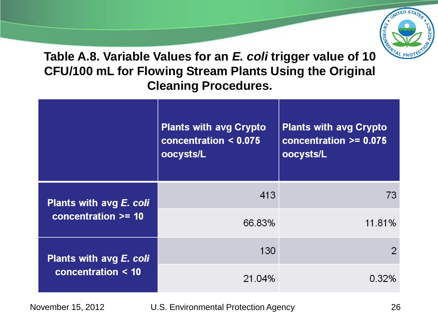

**Table A.8. Variable Values for an** *E. coli* **trigger value of 10 CFU/100 mL for Flowing Stream Plants Using the Original Cleaning Procedures.**

|                         | <b>Plants with avg Crypto</b><br>concentration $< 0.075$<br>oocysts/L | <b>Plants with avg Crypto</b><br>concentration $>= 0.075$<br>oocysts/L |
|-------------------------|-----------------------------------------------------------------------|------------------------------------------------------------------------|
| Plants with avg E. coli | 413                                                                   | 73                                                                     |
| concentration $>=$ 10   | 66.83%                                                                | 11.81%                                                                 |
| Plants with avg E. coli | 130                                                                   | 2                                                                      |
| concentration < 10      | 21.04%                                                                | 0.32%                                                                  |

November 15, 2012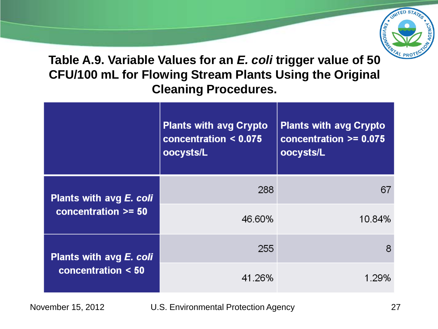

**Table A.9. Variable Values for an** *E. coli* **trigger value of 50 CFU/100 mL for Flowing Stream Plants Using the Original Cleaning Procedures.**

|                                                  | <b>Plants with avg Crypto</b><br>concentration $< 0.075$<br>oocysts/L | <b>Plants with avg Crypto</b><br>concentration >= 0.075<br>oocysts/L |
|--------------------------------------------------|-----------------------------------------------------------------------|----------------------------------------------------------------------|
| Plants with avg E. coli<br>concentration $>= 50$ | 288                                                                   | 67                                                                   |
|                                                  | 46.60%                                                                | 10.84%                                                               |
| Plants with avg E. coli<br>concentration $< 50$  | 255                                                                   | 8                                                                    |
|                                                  | 41.26%                                                                | 1.29%                                                                |

November 15, 2012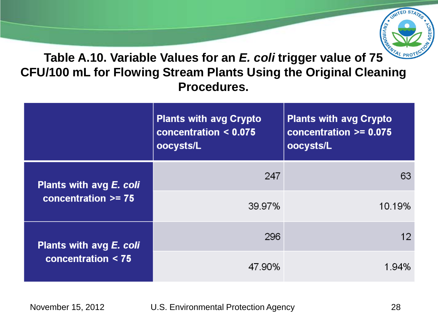

#### **Table A.10. Variable Values for an** *E. coli* **trigger value of 75 CFU/100 mL for Flowing Stream Plants Using the Original Cleaning Procedures.**

|                                                 | <b>Plants with avg Crypto</b><br>concentration $< 0.075$<br>oocysts/L | <b>Plants with avg Crypto</b><br>concentration $>= 0.075$<br>oocysts/L |
|-------------------------------------------------|-----------------------------------------------------------------------|------------------------------------------------------------------------|
| Plants with avg E. coli                         | 247                                                                   | 63                                                                     |
| concentration $>= 75$                           | 39.97%                                                                | 10.19%                                                                 |
| Plants with avg E. coli<br>concentration $<$ 75 | 296                                                                   | 12                                                                     |
|                                                 | 47.90%                                                                | 194%                                                                   |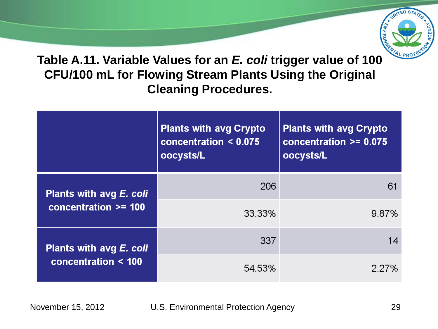

**Table A.11. Variable Values for an** *E. coli* **trigger value of 100 CFU/100 mL for Flowing Stream Plants Using the Original Cleaning Procedures.**

|                                                     | <b>Plants with avg Crypto</b><br>concentration $< 0.075$<br>oocysts/L | <b>Plants with avg Crypto</b><br>concentration $\overline{ }$ >= 0.075<br>oocysts/L |
|-----------------------------------------------------|-----------------------------------------------------------------------|-------------------------------------------------------------------------------------|
| Plants with avg E. coli<br>concentration >= 100     | 206                                                                   | 61                                                                                  |
|                                                     | 33.33%                                                                | 9.87%                                                                               |
| Plants with avg E. coli<br>concentration $\leq 100$ | 337                                                                   |                                                                                     |
|                                                     | 54.53%                                                                | 2.27%                                                                               |

November 15, 2012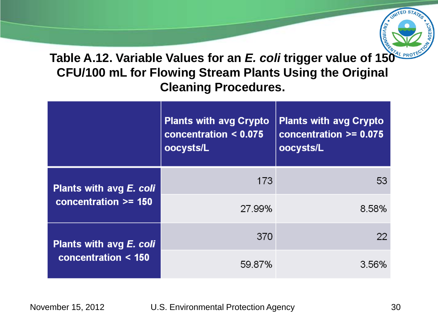

**Table A.12. Variable Values for an** *E. coli* **trigger value of 150 CFU/100 mL for Flowing Stream Plants Using the Original Cleaning Procedures.**

|                                                     | <b>Plants with avg Crypto</b><br>concentration < 0.075<br>oocysts/L | <b>Plants with avg Crypto</b><br>concentration $>= 0.075$<br>oocysts/L |
|-----------------------------------------------------|---------------------------------------------------------------------|------------------------------------------------------------------------|
| Plants with avg E. coli<br>concentration $>=$ 150   | 173                                                                 | 53                                                                     |
|                                                     | 27.99%                                                              | 8.58%                                                                  |
| Plants with avg E. coli<br>concentration $\leq 150$ | 370                                                                 | 22                                                                     |
|                                                     | 59.87%                                                              | 3.56%                                                                  |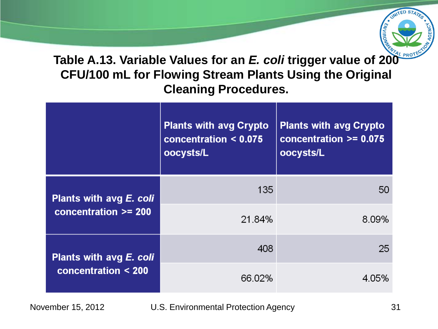

**Table A.13. Variable Values for an** *E. coli* **trigger value of 200 CFU/100 mL for Flowing Stream Plants Using the Original Cleaning Procedures.**

|                                                  | <b>Plants with avg Crypto</b><br>concentration $< 0.075$<br>oocysts/L | <b>Plants with avg Crypto</b><br>concentration $>= 0.075$<br>oocysts/L |
|--------------------------------------------------|-----------------------------------------------------------------------|------------------------------------------------------------------------|
| Plants with avg E. coli<br>concentration >= 200  | 135                                                                   | 50                                                                     |
|                                                  | 21.84%                                                                | 8.09%                                                                  |
| Plants with avg E. coli<br>concentration $<$ 200 | 408                                                                   | 25                                                                     |
|                                                  | 66.02%                                                                | 4.05%                                                                  |

November 15, 2012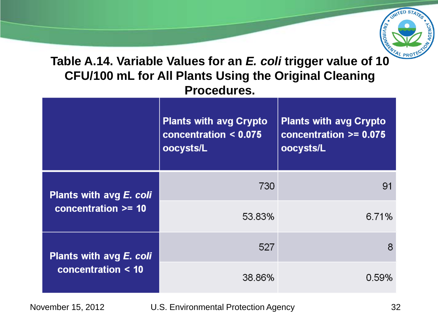

### **Table A.14. Variable Values for an** *E. coli* **trigger value of 10 CFU/100 mL for All Plants Using the Original Cleaning Procedures.**

|                                                      | <b>Plants with avg Crypto</b><br>concentration $< 0.075$<br>oocysts/L | <b>Plants with avg Crypto</b><br>concentration $>= 0.075$<br>oocysts/L |
|------------------------------------------------------|-----------------------------------------------------------------------|------------------------------------------------------------------------|
| Plants with avg E. coli<br>concentration $\geq$ = 10 | 730                                                                   | 91                                                                     |
|                                                      | 53.83%                                                                | 6.71%                                                                  |
| Plants with avg E. coli<br>concentration $<$ 10      | 527                                                                   | 8                                                                      |
|                                                      | 38.86%                                                                | 0.59%                                                                  |

November 15, 2012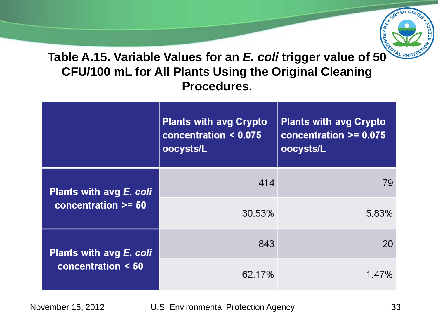

**Table A.15. Variable Values for an** *E. coli* **trigger value of 50 CFU/100 mL for All Plants Using the Original Cleaning Procedures.**

|                                                  | <b>Plants with avg Crypto</b><br>concentration $< 0.075$<br>oocysts/L | <b>Plants with avg Crypto</b><br>concentration $>= 0.075$<br>oocysts/L |
|--------------------------------------------------|-----------------------------------------------------------------------|------------------------------------------------------------------------|
| Plants with avg E. coli<br>concentration $>= 50$ | 414                                                                   | 79                                                                     |
|                                                  | 30.53%                                                                | 5.83%                                                                  |
| Plants with avg E. coli<br>concentration $< 50$  | 843                                                                   | 20                                                                     |
|                                                  | 62.17%                                                                | 1.47%                                                                  |

November 15, 2012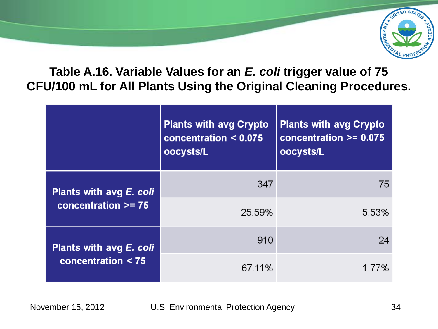

#### **Table A.16. Variable Values for an** *E. coli* **trigger value of 75 CFU/100 mL for All Plants Using the Original Cleaning Procedures.**

|                                                 | <b>Plants with avg Crypto</b><br>concentration $< 0.075$<br>oocysts/L | <b>Plants with avg Crypto</b><br>concentration $>= 0.075$<br>oocysts/L |
|-------------------------------------------------|-----------------------------------------------------------------------|------------------------------------------------------------------------|
| Plants with avg E. coli                         | 347                                                                   | 75                                                                     |
| concentration $>= 75$                           | 25.59%                                                                | 5.53%                                                                  |
| Plants with avg E. coli<br>concentration $<$ 75 | 910                                                                   | 24                                                                     |
|                                                 | 67.11%                                                                | 1.77%                                                                  |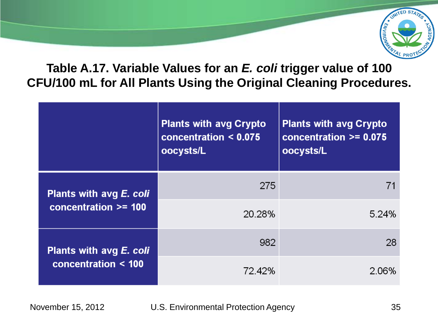

#### **Table A.17. Variable Values for an** *E. coli* **trigger value of 100 CFU/100 mL for All Plants Using the Original Cleaning Procedures.**

|                                                     | <b>Plants with avg Crypto</b><br>concentration $< 0.075$<br>oocysts/L | <b>Plants with avg Crypto</b><br>concentration $>= 0.075$<br>oocysts/L |
|-----------------------------------------------------|-----------------------------------------------------------------------|------------------------------------------------------------------------|
| Plants with avg E. coli<br>concentration $>=$ 100   | 275                                                                   |                                                                        |
|                                                     | 20.28%                                                                | 5.24%                                                                  |
| Plants with avg E. coli<br>concentration $\leq 100$ | 982                                                                   | 28                                                                     |
|                                                     | 72.42%                                                                | $2.06\%$                                                               |

November 15, 2012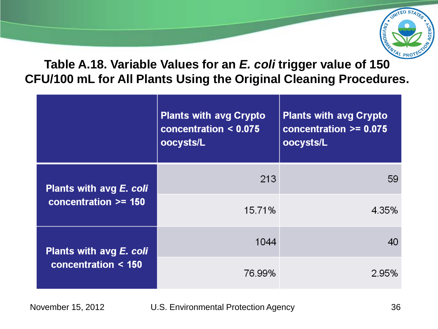

#### **Table A.18. Variable Values for an** *E. coli* **trigger value of 150 CFU/100 mL for All Plants Using the Original Cleaning Procedures.**

|                                                     | <b>Plants with avg Crypto</b><br>concentration $< 0.075$<br>oocysts/L | <b>Plants with avg Crypto</b><br>concentration $>= 0.075$<br>oocysts/L |
|-----------------------------------------------------|-----------------------------------------------------------------------|------------------------------------------------------------------------|
| Plants with avg E. coli<br>concentration $\geq$ 150 | 213                                                                   | 59                                                                     |
|                                                     | 15.71%                                                                | 4.35%                                                                  |
| Plants with avg E. coli<br>concentration $\leq 150$ | 1044                                                                  |                                                                        |
|                                                     | 76.99%                                                                | 2.95%                                                                  |